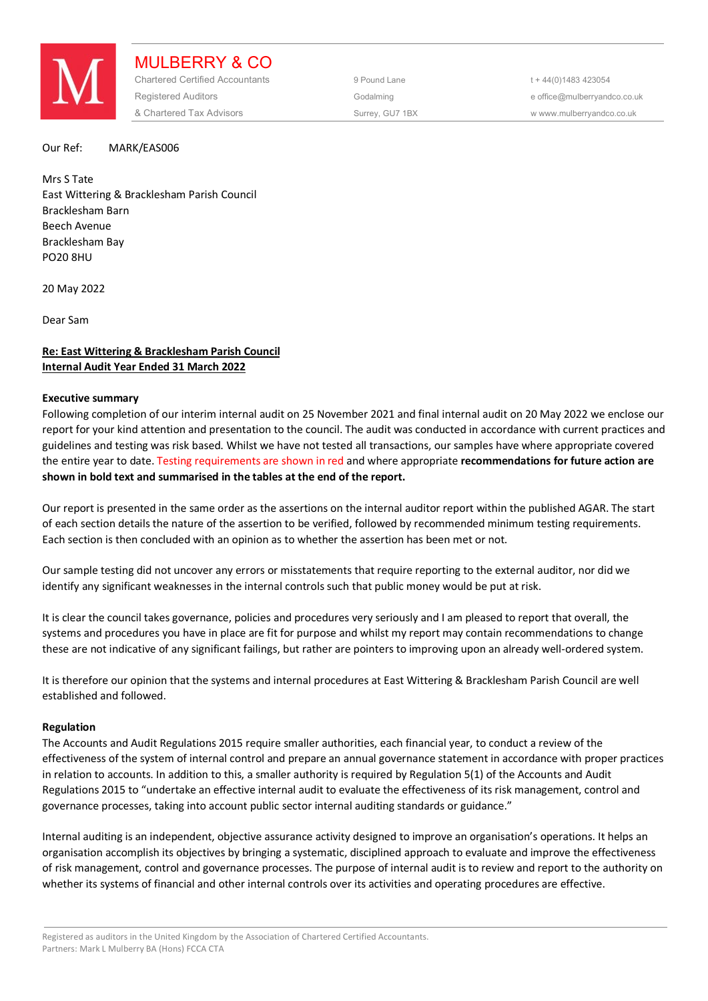

MULBERRY & CO Chartered Certified Accountants 9 Pound Lane 5 and the 44(0) 1483 423054 Registered Auditors and the Codalming Codalming and the office@mulberryandco.co.uk & Chartered Tax Advisors Surrey, GU7 1BX w www.mulberryandco.co.uk

Our Ref: MARK/EAS006

Mrs S Tate East Wittering & Bracklesham Parish Council Bracklesham Barn Beech Avenue Bracklesham Bay PO20 8HU

20 May 2022

Dear Sam

# **Re: East Wittering & Bracklesham Parish Council Internal Audit Year Ended 31 March 2022**

## **Executive summary**

Following completion of our interim internal audit on 25 November 2021 and final internal audit on 20 May 2022 we enclose our report for your kind attention and presentation to the council. The audit was conducted in accordance with current practices and guidelines and testing was risk based. Whilst we have not tested all transactions, our samples have where appropriate covered the entire year to date. Testing requirements are shown in red and where appropriate **recommendations for future action are shown in bold text and summarised in the tables at the end of the report.** 

Our report is presented in the same order as the assertions on the internal auditor report within the published AGAR. The start of each section details the nature of the assertion to be verified, followed by recommended minimum testing requirements. Each section is then concluded with an opinion as to whether the assertion has been met or not.

Our sample testing did not uncover any errors or misstatements that require reporting to the external auditor, nor did we identify any significant weaknesses in the internal controls such that public money would be put at risk.

It is clear the council takes governance, policies and procedures very seriously and I am pleased to report that overall, the systems and procedures you have in place are fit for purpose and whilst my report may contain recommendations to change these are not indicative of any significant failings, but rather are pointers to improving upon an already well-ordered system.

It is therefore our opinion that the systems and internal procedures at East Wittering & Bracklesham Parish Council are well established and followed.

## **Regulation**

The Accounts and Audit Regulations 2015 require smaller authorities, each financial year, to conduct a review of the effectiveness of the system of internal control and prepare an annual governance statement in accordance with proper practices in relation to accounts. In addition to this, a smaller authority is required by Regulation 5(1) of the Accounts and Audit Regulations 2015 to "undertake an effective internal audit to evaluate the effectiveness of its risk management, control and governance processes, taking into account public sector internal auditing standards or guidance."

Internal auditing is an independent, objective assurance activity designed to improve an organisation's operations. It helps an organisation accomplish its objectives by bringing a systematic, disciplined approach to evaluate and improve the effectiveness of risk management, control and governance processes. The purpose of internal audit is to review and report to the authority on whether its systems of financial and other internal controls over its activities and operating procedures are effective.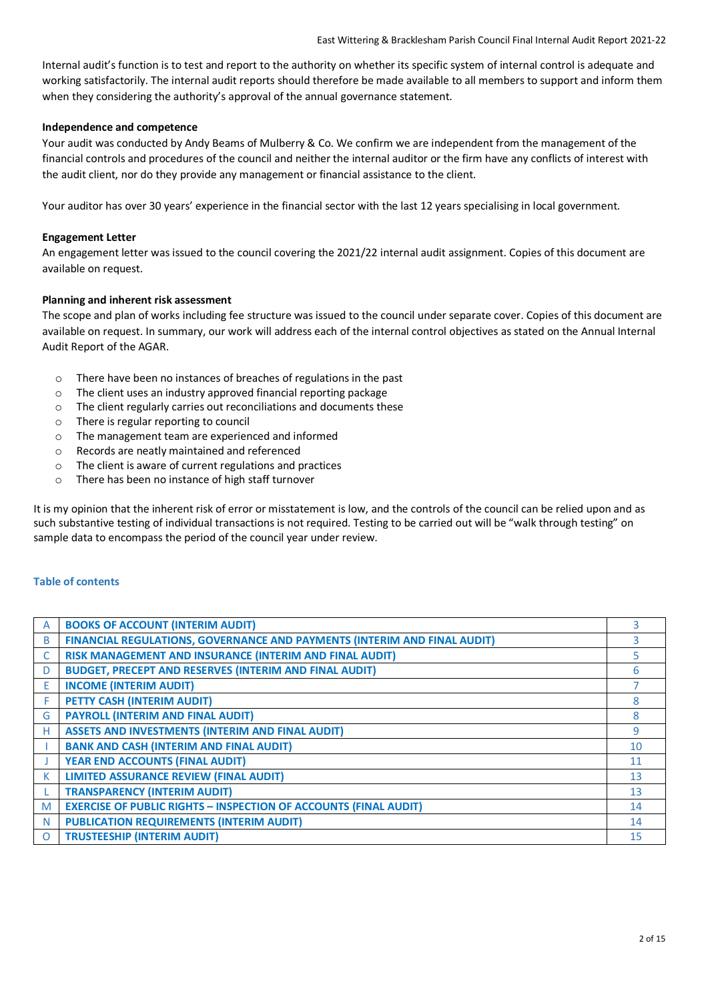Internal audit's function is to test and report to the authority on whether its specific system of internal control is adequate and working satisfactorily. The internal audit reports should therefore be made available to all members to support and inform them when they considering the authority's approval of the annual governance statement.

## **Independence and competence**

Your audit was conducted by Andy Beams of Mulberry & Co. We confirm we are independent from the management of the financial controls and procedures of the council and neither the internal auditor or the firm have any conflicts of interest with the audit client, nor do they provide any management or financial assistance to the client.

Your auditor has over 30 years' experience in the financial sector with the last 12 years specialising in local government.

## **Engagement Letter**

An engagement letter was issued to the council covering the 2021/22 internal audit assignment. Copies of this document are available on request.

## **Planning and inherent risk assessment**

The scope and plan of works including fee structure was issued to the council under separate cover. Copies of this document are available on request. In summary, our work will address each of the internal control objectives as stated on the Annual Internal Audit Report of the AGAR.

- o There have been no instances of breaches of regulations in the past
- o The client uses an industry approved financial reporting package
- o The client regularly carries out reconciliations and documents these
- o There is regular reporting to council
- o The management team are experienced and informed
- o Records are neatly maintained and referenced
- o The client is aware of current regulations and practices
- o There has been no instance of high staff turnover

It is my opinion that the inherent risk of error or misstatement is low, and the controls of the council can be relied upon and as such substantive testing of individual transactions is not required. Testing to be carried out will be "walk through testing" on sample data to encompass the period of the council year under review.

## **Table of contents**

| A        | <b>BOOKS OF ACCOUNT (INTERIM AUDIT)</b>                                  |    |
|----------|--------------------------------------------------------------------------|----|
| B        | FINANCIAL REGULATIONS, GOVERNANCE AND PAYMENTS (INTERIM AND FINAL AUDIT) |    |
| C        | RISK MANAGEMENT AND INSURANCE (INTERIM AND FINAL AUDIT)                  | ς  |
| D        | <b>BUDGET, PRECEPT AND RESERVES (INTERIM AND FINAL AUDIT)</b>            | 6  |
| E        | <b>INCOME (INTERIM AUDIT)</b>                                            |    |
| F        | PETTY CASH (INTERIM AUDIT)                                               | 8  |
| G        | <b>PAYROLL (INTERIM AND FINAL AUDIT)</b>                                 | 8  |
| Н        | <b>ASSETS AND INVESTMENTS (INTERIM AND FINAL AUDIT)</b>                  | 9  |
|          | <b>BANK AND CASH (INTERIM AND FINAL AUDIT)</b>                           | 10 |
|          | <b>YEAR END ACCOUNTS (FINAL AUDIT)</b>                                   | 11 |
| К        | <b>LIMITED ASSURANCE REVIEW (FINAL AUDIT)</b>                            | 13 |
|          | <b>TRANSPARENCY (INTERIM AUDIT)</b>                                      | 13 |
| M        | <b>EXERCISE OF PUBLIC RIGHTS - INSPECTION OF ACCOUNTS (FINAL AUDIT)</b>  | 14 |
| N        | <b>PUBLICATION REQUIREMENTS (INTERIM AUDIT)</b>                          | 14 |
| $\Omega$ | <b>TRUSTEESHIP (INTERIM AUDIT)</b>                                       | 15 |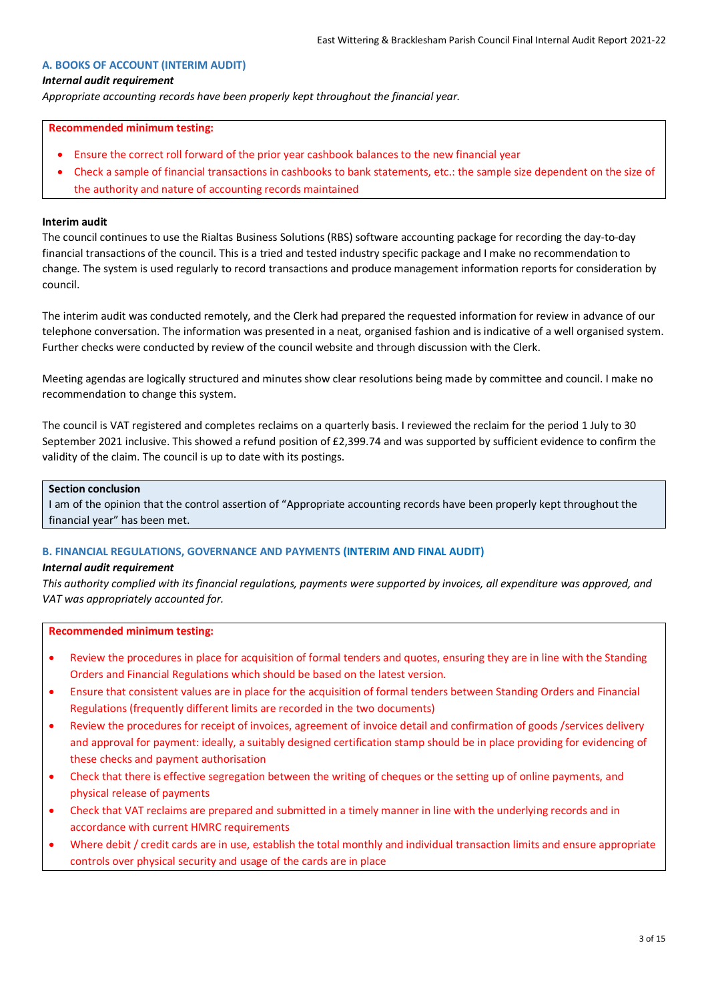### **A. BOOKS OF ACCOUNT (INTERIM AUDIT)**

### *Internal audit requirement*

*Appropriate accounting records have been properly kept throughout the financial year.*

#### **Recommended minimum testing:**

- Ensure the correct roll forward of the prior year cashbook balances to the new financial year
- Check a sample of financial transactions in cashbooks to bank statements, etc.: the sample size dependent on the size of the authority and nature of accounting records maintained

### **Interim audit**

The council continues to use the Rialtas Business Solutions (RBS) software accounting package for recording the day-to-day financial transactions of the council. This is a tried and tested industry specific package and I make no recommendation to change. The system is used regularly to record transactions and produce management information reports for consideration by council.

The interim audit was conducted remotely, and the Clerk had prepared the requested information for review in advance of our telephone conversation. The information was presented in a neat, organised fashion and is indicative of a well organised system. Further checks were conducted by review of the council website and through discussion with the Clerk.

Meeting agendas are logically structured and minutes show clear resolutions being made by committee and council. I make no recommendation to change this system.

The council is VAT registered and completes reclaims on a quarterly basis. I reviewed the reclaim for the period 1 July to 30 September 2021 inclusive. This showed a refund position of £2,399.74 and was supported by sufficient evidence to confirm the validity of the claim. The council is up to date with its postings.

### **Section conclusion**

I am of the opinion that the control assertion of "Appropriate accounting records have been properly kept throughout the financial year" has been met.

### **B. FINANCIAL REGULATIONS, GOVERNANCE AND PAYMENTS (INTERIM AND FINAL AUDIT)**

#### *Internal audit requirement*

*This authority complied with its financial regulations, payments were supported by invoices, all expenditure was approved, and VAT was appropriately accounted for.*

- Review the procedures in place for acquisition of formal tenders and quotes, ensuring they are in line with the Standing Orders and Financial Regulations which should be based on the latest version.
- Ensure that consistent values are in place for the acquisition of formal tenders between Standing Orders and Financial Regulations (frequently different limits are recorded in the two documents)
- Review the procedures for receipt of invoices, agreement of invoice detail and confirmation of goods /services delivery and approval for payment: ideally, a suitably designed certification stamp should be in place providing for evidencing of these checks and payment authorisation
- Check that there is effective segregation between the writing of cheques or the setting up of online payments, and physical release of payments
- Check that VAT reclaims are prepared and submitted in a timely manner in line with the underlying records and in accordance with current HMRC requirements
- Where debit / credit cards are in use, establish the total monthly and individual transaction limits and ensure appropriate controls over physical security and usage of the cards are in place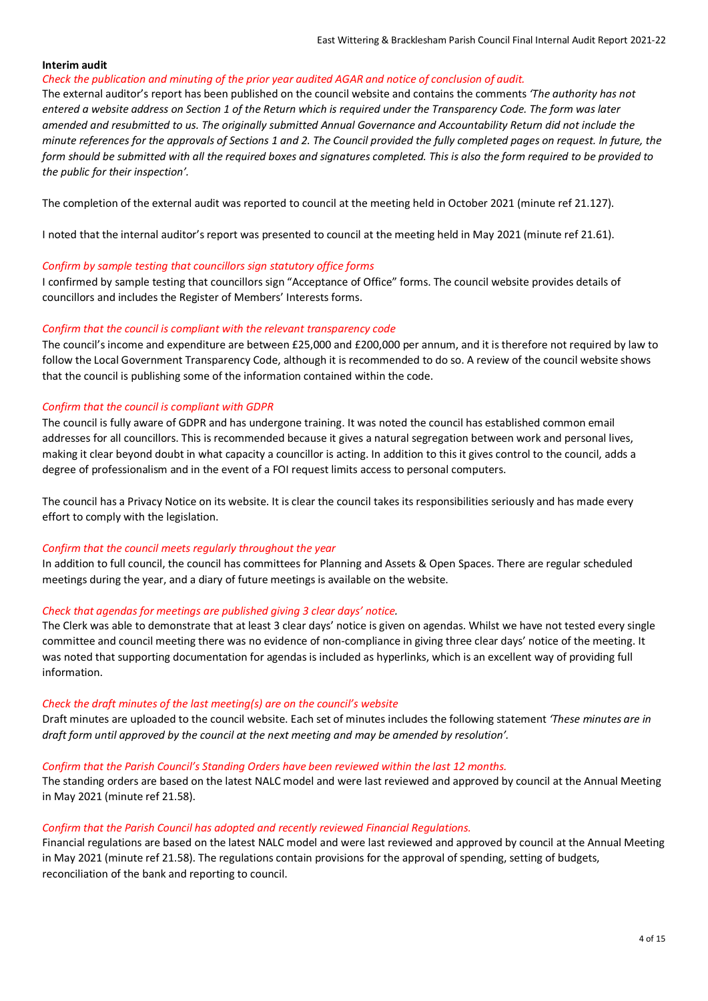## **Interim audit**

### *Check the publication and minuting of the prior year audited AGAR and notice of conclusion of audit.*

The external auditor's report has been published on the council website and contains the comments *'The authority has not entered a website address on Section 1 of the Return which is required under the Transparency Code. The form was later amended and resubmitted to us. The originally submitted Annual Governance and Accountability Return did not include the minute references for the approvals of Sections 1 and 2. The Council provided the fully completed pages on request. ln future, the form should be submitted with all the required boxes and signatures completed. This is also the form required to be provided to the public for their inspection'.*

The completion of the external audit was reported to council at the meeting held in October 2021 (minute ref 21.127).

I noted that the internal auditor's report was presented to council at the meeting held in May 2021 (minute ref 21.61).

## *Confirm by sample testing that councillors sign statutory office forms*

I confirmed by sample testing that councillors sign "Acceptance of Office" forms. The council website provides details of councillors and includes the Register of Members' Interests forms.

## *Confirm that the council is compliant with the relevant transparency code*

The council's income and expenditure are between £25,000 and £200,000 per annum, and it is therefore not required by law to follow the Local Government Transparency Code, although it is recommended to do so. A review of the council website shows that the council is publishing some of the information contained within the code.

## *Confirm that the council is compliant with GDPR*

The council is fully aware of GDPR and has undergone training. It was noted the council has established common email addresses for all councillors. This is recommended because it gives a natural segregation between work and personal lives, making it clear beyond doubt in what capacity a councillor is acting. In addition to this it gives control to the council, adds a degree of professionalism and in the event of a FOI request limits access to personal computers.

The council has a Privacy Notice on its website. It is clear the council takes its responsibilities seriously and has made every effort to comply with the legislation.

## *Confirm that the council meets regularly throughout the year*

In addition to full council, the council has committees for Planning and Assets & Open Spaces. There are regular scheduled meetings during the year, and a diary of future meetings is available on the website.

## *Check that agendas for meetings are published giving 3 clear days' notice.*

The Clerk was able to demonstrate that at least 3 clear days' notice is given on agendas. Whilst we have not tested every single committee and council meeting there was no evidence of non-compliance in giving three clear days' notice of the meeting. It was noted that supporting documentation for agendas is included as hyperlinks, which is an excellent way of providing full information.

## *Check the draft minutes of the last meeting(s) are on the council's website*

Draft minutes are uploaded to the council website. Each set of minutes includes the following statement *'These minutes are in draft form until approved by the council at the next meeting and may be amended by resolution'.* 

## *Confirm that the Parish Council's Standing Orders have been reviewed within the last 12 months.*

The standing orders are based on the latest NALC model and were last reviewed and approved by council at the Annual Meeting in May 2021 (minute ref 21.58).

## *Confirm that the Parish Council has adopted and recently reviewed Financial Regulations.*

Financial regulations are based on the latest NALC model and were last reviewed and approved by council at the Annual Meeting in May 2021 (minute ref 21.58). The regulations contain provisions for the approval of spending, setting of budgets, reconciliation of the bank and reporting to council.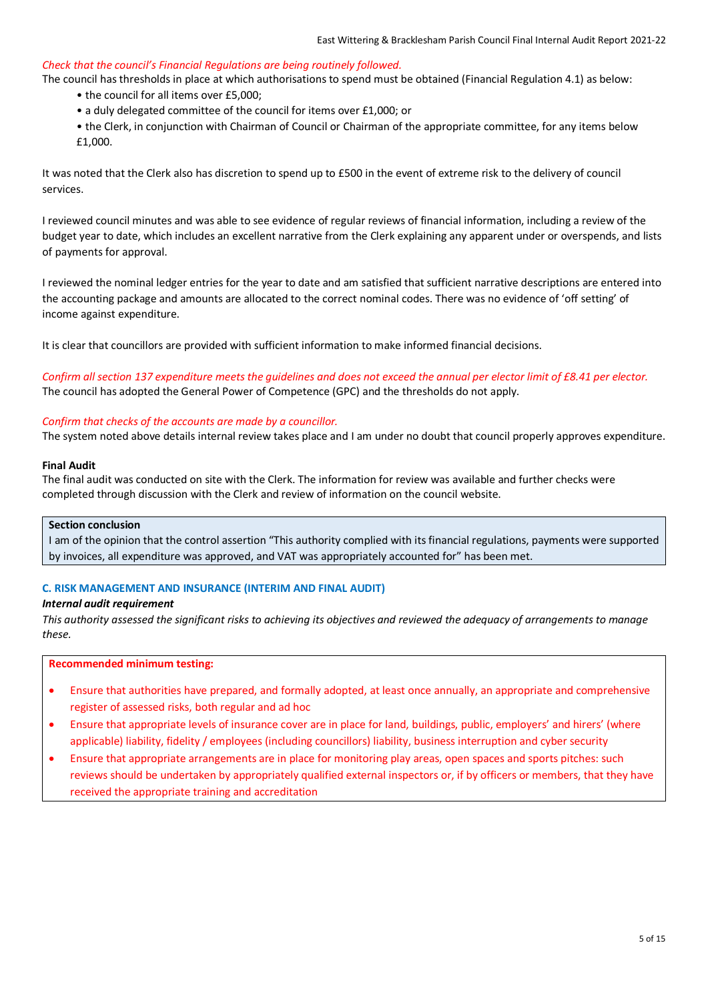## *Check that the council's Financial Regulations are being routinely followed.*

- The council has thresholds in place at which authorisations to spend must be obtained (Financial Regulation 4.1) as below:
	- the council for all items over £5,000;
	- a duly delegated committee of the council for items over £1,000; or
	- the Clerk, in conjunction with Chairman of Council or Chairman of the appropriate committee, for any items below £1,000.

It was noted that the Clerk also has discretion to spend up to £500 in the event of extreme risk to the delivery of council services.

I reviewed council minutes and was able to see evidence of regular reviews of financial information, including a review of the budget year to date, which includes an excellent narrative from the Clerk explaining any apparent under or overspends, and lists of payments for approval.

I reviewed the nominal ledger entries for the year to date and am satisfied that sufficient narrative descriptions are entered into the accounting package and amounts are allocated to the correct nominal codes. There was no evidence of 'off setting' of income against expenditure.

It is clear that councillors are provided with sufficient information to make informed financial decisions.

*Confirm all section 137 expenditure meets the guidelines and does not exceed the annual per elector limit of £8.41 per elector.* The council has adopted the General Power of Competence (GPC) and the thresholds do not apply.

## *Confirm that checks of the accounts are made by a councillor.*

The system noted above details internal review takes place and I am under no doubt that council properly approves expenditure.

### **Final Audit**

The final audit was conducted on site with the Clerk. The information for review was available and further checks were completed through discussion with the Clerk and review of information on the council website.

#### **Section conclusion**

I am of the opinion that the control assertion "This authority complied with its financial regulations, payments were supported by invoices, all expenditure was approved, and VAT was appropriately accounted for" has been met.

## **C. RISK MANAGEMENT AND INSURANCE (INTERIM AND FINAL AUDIT)**

#### *Internal audit requirement*

*This authority assessed the significant risks to achieving its objectives and reviewed the adequacy of arrangements to manage these.*

- Ensure that authorities have prepared, and formally adopted, at least once annually, an appropriate and comprehensive register of assessed risks, both regular and ad hoc
- Ensure that appropriate levels of insurance cover are in place for land, buildings, public, employers' and hirers' (where applicable) liability, fidelity / employees (including councillors) liability, business interruption and cyber security
- Ensure that appropriate arrangements are in place for monitoring play areas, open spaces and sports pitches: such reviews should be undertaken by appropriately qualified external inspectors or, if by officers or members, that they have received the appropriate training and accreditation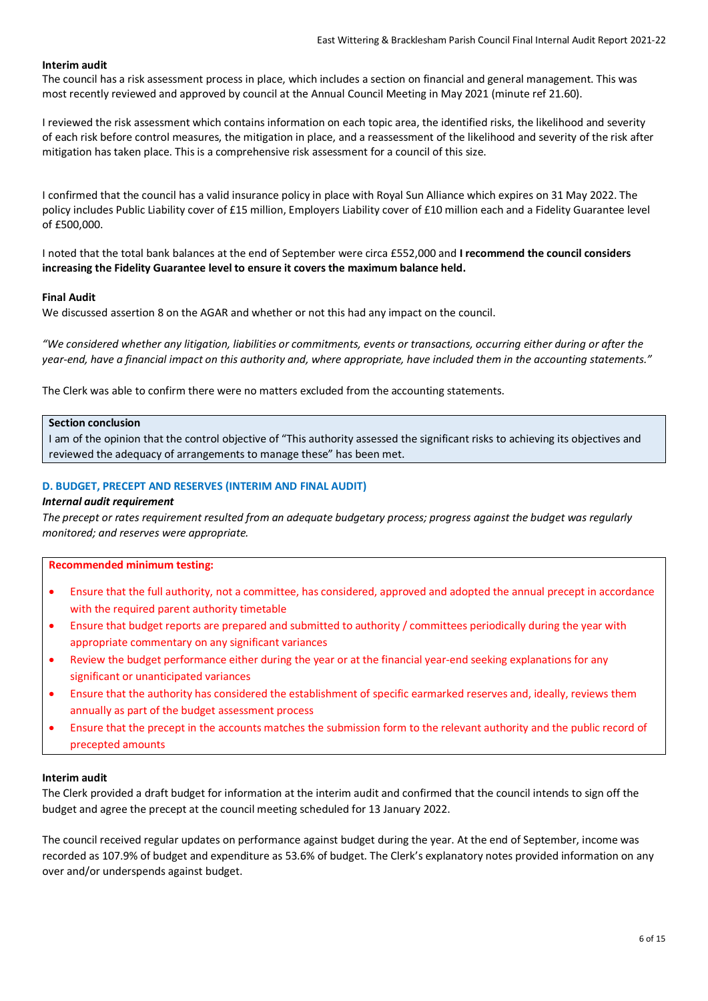## **Interim audit**

The council has a risk assessment process in place, which includes a section on financial and general management. This was most recently reviewed and approved by council at the Annual Council Meeting in May 2021 (minute ref 21.60).

I reviewed the risk assessment which contains information on each topic area, the identified risks, the likelihood and severity of each risk before control measures, the mitigation in place, and a reassessment of the likelihood and severity of the risk after mitigation has taken place. This is a comprehensive risk assessment for a council of this size.

I confirmed that the council has a valid insurance policy in place with Royal Sun Alliance which expires on 31 May 2022. The policy includes Public Liability cover of £15 million, Employers Liability cover of £10 million each and a Fidelity Guarantee level of £500,000.

I noted that the total bank balances at the end of September were circa £552,000 and **I recommend the council considers increasing the Fidelity Guarantee level to ensure it covers the maximum balance held.**

## **Final Audit**

We discussed assertion 8 on the AGAR and whether or not this had any impact on the council.

*"We considered whether any litigation, liabilities or commitments, events or transactions, occurring either during or after the year-end, have a financial impact on this authority and, where appropriate, have included them in the accounting statements."*

The Clerk was able to confirm there were no matters excluded from the accounting statements.

### **Section conclusion**

I am of the opinion that the control objective of "This authority assessed the significant risks to achieving its objectives and reviewed the adequacy of arrangements to manage these" has been met.

## **D. BUDGET, PRECEPT AND RESERVES (INTERIM AND FINAL AUDIT)**

### *Internal audit requirement*

*The precept or rates requirement resulted from an adequate budgetary process; progress against the budget was regularly monitored; and reserves were appropriate.*

## **Recommended minimum testing:**

- Ensure that the full authority, not a committee, has considered, approved and adopted the annual precept in accordance with the required parent authority timetable
- Ensure that budget reports are prepared and submitted to authority / committees periodically during the year with appropriate commentary on any significant variances
- Review the budget performance either during the year or at the financial year-end seeking explanations for any significant or unanticipated variances
- Ensure that the authority has considered the establishment of specific earmarked reserves and, ideally, reviews them annually as part of the budget assessment process
- Ensure that the precept in the accounts matches the submission form to the relevant authority and the public record of precepted amounts

### **Interim audit**

The Clerk provided a draft budget for information at the interim audit and confirmed that the council intends to sign off the budget and agree the precept at the council meeting scheduled for 13 January 2022.

The council received regular updates on performance against budget during the year. At the end of September, income was recorded as 107.9% of budget and expenditure as 53.6% of budget. The Clerk's explanatory notes provided information on any over and/or underspends against budget.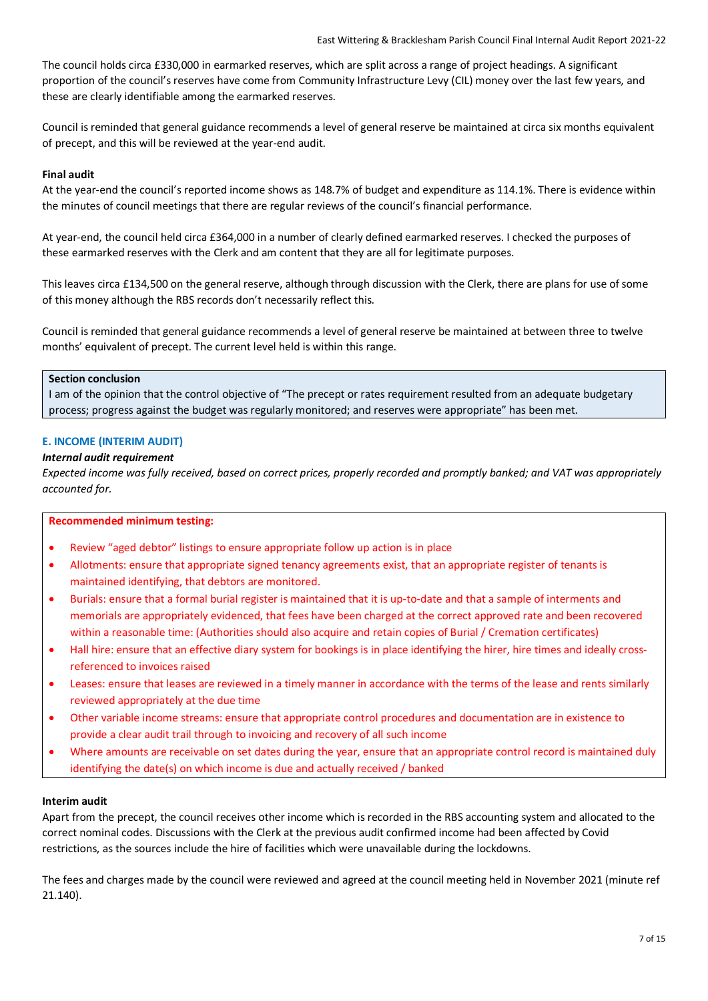The council holds circa £330,000 in earmarked reserves, which are split across a range of project headings. A significant proportion of the council's reserves have come from Community Infrastructure Levy (CIL) money over the last few years, and these are clearly identifiable among the earmarked reserves.

Council is reminded that general guidance recommends a level of general reserve be maintained at circa six months equivalent of precept, and this will be reviewed at the year-end audit.

### **Final audit**

At the year-end the council's reported income shows as 148.7% of budget and expenditure as 114.1%. There is evidence within the minutes of council meetings that there are regular reviews of the council's financial performance.

At year-end, the council held circa £364,000 in a number of clearly defined earmarked reserves. I checked the purposes of these earmarked reserves with the Clerk and am content that they are all for legitimate purposes.

This leaves circa £134,500 on the general reserve, although through discussion with the Clerk, there are plans for use of some of this money although the RBS records don't necessarily reflect this.

Council is reminded that general guidance recommends a level of general reserve be maintained at between three to twelve months' equivalent of precept. The current level held is within this range.

## **Section conclusion**

I am of the opinion that the control objective of "The precept or rates requirement resulted from an adequate budgetary process; progress against the budget was regularly monitored; and reserves were appropriate" has been met.

## **E. INCOME (INTERIM AUDIT)**

#### *Internal audit requirement*

*Expected income was fully received, based on correct prices, properly recorded and promptly banked; and VAT was appropriately accounted for.*

### **Recommended minimum testing:**

- Review "aged debtor" listings to ensure appropriate follow up action is in place
- Allotments: ensure that appropriate signed tenancy agreements exist, that an appropriate register of tenants is maintained identifying, that debtors are monitored.
- Burials: ensure that a formal burial register is maintained that it is up-to-date and that a sample of interments and memorials are appropriately evidenced, that fees have been charged at the correct approved rate and been recovered within a reasonable time: (Authorities should also acquire and retain copies of Burial / Cremation certificates)
- Hall hire: ensure that an effective diary system for bookings is in place identifying the hirer, hire times and ideally crossreferenced to invoices raised
- Leases: ensure that leases are reviewed in a timely manner in accordance with the terms of the lease and rents similarly reviewed appropriately at the due time
- Other variable income streams: ensure that appropriate control procedures and documentation are in existence to provide a clear audit trail through to invoicing and recovery of all such income
- Where amounts are receivable on set dates during the year, ensure that an appropriate control record is maintained duly identifying the date(s) on which income is due and actually received / banked

### **Interim audit**

Apart from the precept, the council receives other income which is recorded in the RBS accounting system and allocated to the correct nominal codes. Discussions with the Clerk at the previous audit confirmed income had been affected by Covid restrictions, as the sources include the hire of facilities which were unavailable during the lockdowns.

The fees and charges made by the council were reviewed and agreed at the council meeting held in November 2021 (minute ref 21.140).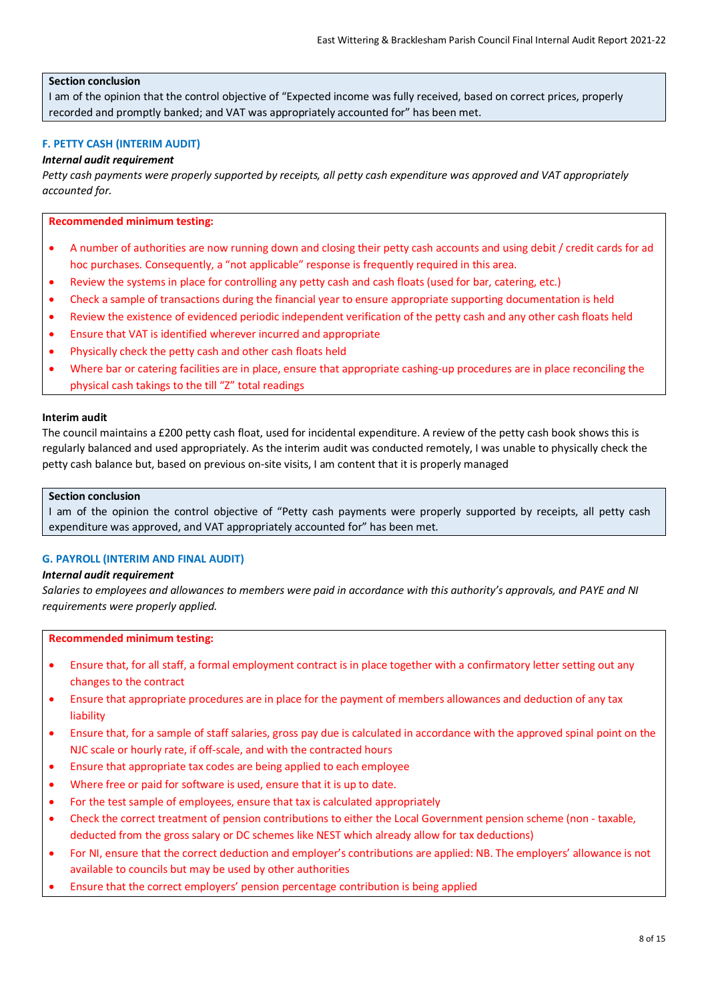## **Section conclusion**

I am of the opinion that the control objective of "Expected income was fully received, based on correct prices, properly recorded and promptly banked; and VAT was appropriately accounted for" has been met.

### **F. PETTY CASH (INTERIM AUDIT)**

#### *Internal audit requirement*

*Petty cash payments were properly supported by receipts, all petty cash expenditure was approved and VAT appropriately accounted for.*

#### **Recommended minimum testing:**

- A number of authorities are now running down and closing their petty cash accounts and using debit / credit cards for ad hoc purchases. Consequently, a "not applicable" response is frequently required in this area.
- Review the systems in place for controlling any petty cash and cash floats (used for bar, catering, etc.)
- Check a sample of transactions during the financial year to ensure appropriate supporting documentation is held
- Review the existence of evidenced periodic independent verification of the petty cash and any other cash floats held
- Ensure that VAT is identified wherever incurred and appropriate
- Physically check the petty cash and other cash floats held
- Where bar or catering facilities are in place, ensure that appropriate cashing-up procedures are in place reconciling the physical cash takings to the till "Z" total readings

#### **Interim audit**

The council maintains a £200 petty cash float, used for incidental expenditure. A review of the petty cash book shows this is regularly balanced and used appropriately. As the interim audit was conducted remotely, I was unable to physically check the petty cash balance but, based on previous on-site visits, I am content that it is properly managed

#### **Section conclusion**

I am of the opinion the control objective of "Petty cash payments were properly supported by receipts, all petty cash expenditure was approved, and VAT appropriately accounted for" has been met.

#### **G. PAYROLL (INTERIM AND FINAL AUDIT)**

### *Internal audit requirement*

*Salaries to employees and allowances to members were paid in accordance with this authority's approvals, and PAYE and NI requirements were properly applied.*

- Ensure that, for all staff, a formal employment contract is in place together with a confirmatory letter setting out any changes to the contract
- Ensure that appropriate procedures are in place for the payment of members allowances and deduction of any tax liability
- Ensure that, for a sample of staff salaries, gross pay due is calculated in accordance with the approved spinal point on the NJC scale or hourly rate, if off-scale, and with the contracted hours
- Ensure that appropriate tax codes are being applied to each employee
- Where free or paid for software is used, ensure that it is up to date.
- For the test sample of employees, ensure that tax is calculated appropriately
- Check the correct treatment of pension contributions to either the Local Government pension scheme (non taxable, deducted from the gross salary or DC schemes like NEST which already allow for tax deductions)
- For NI, ensure that the correct deduction and employer's contributions are applied: NB. The employers' allowance is not available to councils but may be used by other authorities
- Ensure that the correct employers' pension percentage contribution is being applied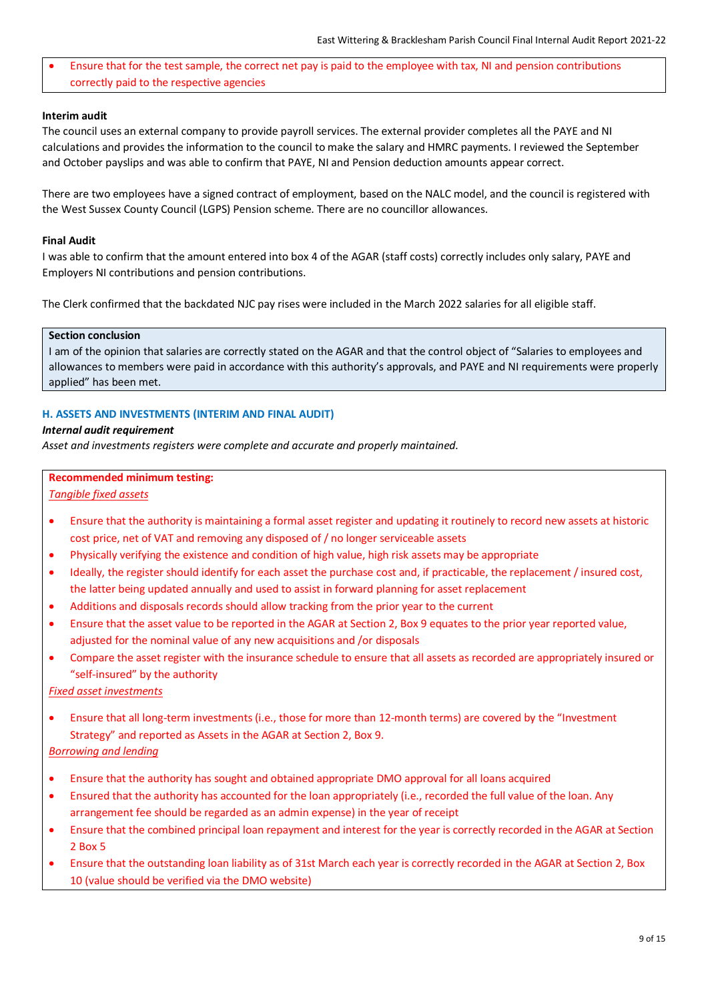• Ensure that for the test sample, the correct net pay is paid to the employee with tax, NI and pension contributions correctly paid to the respective agencies

## **Interim audit**

The council uses an external company to provide payroll services. The external provider completes all the PAYE and NI calculations and provides the information to the council to make the salary and HMRC payments. I reviewed the September and October payslips and was able to confirm that PAYE, NI and Pension deduction amounts appear correct.

There are two employees have a signed contract of employment, based on the NALC model, and the council is registered with the West Sussex County Council (LGPS) Pension scheme. There are no councillor allowances.

### **Final Audit**

I was able to confirm that the amount entered into box 4 of the AGAR (staff costs) correctly includes only salary, PAYE and Employers NI contributions and pension contributions.

The Clerk confirmed that the backdated NJC pay rises were included in the March 2022 salaries for all eligible staff.

## **Section conclusion**

I am of the opinion that salaries are correctly stated on the AGAR and that the control object of "Salaries to employees and allowances to members were paid in accordance with this authority's approvals, and PAYE and NI requirements were properly applied" has been met.

## **H. ASSETS AND INVESTMENTS (INTERIM AND FINAL AUDIT)**

## *Internal audit requirement*

*Asset and investments registers were complete and accurate and properly maintained.*

## **Recommended minimum testing:**

### *Tangible fixed assets*

- Ensure that the authority is maintaining a formal asset register and updating it routinely to record new assets at historic cost price, net of VAT and removing any disposed of / no longer serviceable assets
- Physically verifying the existence and condition of high value, high risk assets may be appropriate
- Ideally, the register should identify for each asset the purchase cost and, if practicable, the replacement / insured cost, the latter being updated annually and used to assist in forward planning for asset replacement
- Additions and disposals records should allow tracking from the prior year to the current
- Ensure that the asset value to be reported in the AGAR at Section 2, Box 9 equates to the prior year reported value, adjusted for the nominal value of any new acquisitions and /or disposals
- Compare the asset register with the insurance schedule to ensure that all assets as recorded are appropriately insured or "self-insured" by the authority

*Fixed asset investments*

• Ensure that all long-term investments (i.e., those for more than 12-month terms) are covered by the "Investment Strategy" and reported as Assets in the AGAR at Section 2, Box 9.

# *Borrowing and lending*

- Ensure that the authority has sought and obtained appropriate DMO approval for all loans acquired
- Ensured that the authority has accounted for the loan appropriately (i.e., recorded the full value of the loan. Any arrangement fee should be regarded as an admin expense) in the year of receipt
- Ensure that the combined principal loan repayment and interest for the year is correctly recorded in the AGAR at Section 2 Box 5
- Ensure that the outstanding loan liability as of 31st March each year is correctly recorded in the AGAR at Section 2, Box 10 (value should be verified via the DMO website)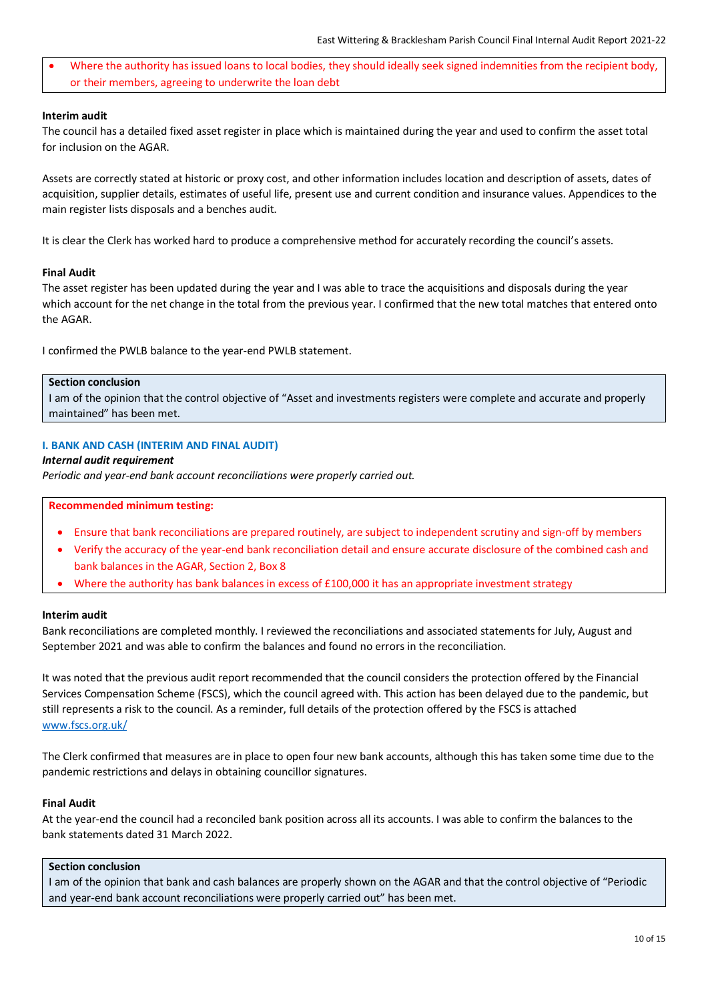• Where the authority has issued loans to local bodies, they should ideally seek signed indemnities from the recipient body, or their members, agreeing to underwrite the loan debt

## **Interim audit**

The council has a detailed fixed asset register in place which is maintained during the year and used to confirm the asset total for inclusion on the AGAR.

Assets are correctly stated at historic or proxy cost, and other information includes location and description of assets, dates of acquisition, supplier details, estimates of useful life, present use and current condition and insurance values. Appendices to the main register lists disposals and a benches audit.

It is clear the Clerk has worked hard to produce a comprehensive method for accurately recording the council's assets.

## **Final Audit**

The asset register has been updated during the year and I was able to trace the acquisitions and disposals during the year which account for the net change in the total from the previous year. I confirmed that the new total matches that entered onto the AGAR.

I confirmed the PWLB balance to the year-end PWLB statement.

### **Section conclusion**

I am of the opinion that the control objective of "Asset and investments registers were complete and accurate and properly maintained" has been met.

## **I. BANK AND CASH (INTERIM AND FINAL AUDIT)**

### *Internal audit requirement*

*Periodic and year-end bank account reconciliations were properly carried out.*

# **Recommended minimum testing:**

- Ensure that bank reconciliations are prepared routinely, are subject to independent scrutiny and sign-off by members
- Verify the accuracy of the year-end bank reconciliation detail and ensure accurate disclosure of the combined cash and bank balances in the AGAR, Section 2, Box 8
- Where the authority has bank balances in excess of £100,000 it has an appropriate investment strategy

## **Interim audit**

Bank reconciliations are completed monthly. I reviewed the reconciliations and associated statements for July, August and September 2021 and was able to confirm the balances and found no errors in the reconciliation.

It was noted that the previous audit report recommended that the council considers the protection offered by the Financial Services Compensation Scheme (FSCS), which the council agreed with. This action has been delayed due to the pandemic, but still represents a risk to the council. As a reminder, full details of the protection offered by the FSCS is attached [www.fscs.org.uk/](https://www.fscs.org.uk/)

The Clerk confirmed that measures are in place to open four new bank accounts, although this has taken some time due to the pandemic restrictions and delays in obtaining councillor signatures.

## **Final Audit**

At the year-end the council had a reconciled bank position across all its accounts. I was able to confirm the balances to the bank statements dated 31 March 2022.

## **Section conclusion**

I am of the opinion that bank and cash balances are properly shown on the AGAR and that the control objective of "Periodic and year-end bank account reconciliations were properly carried out" has been met.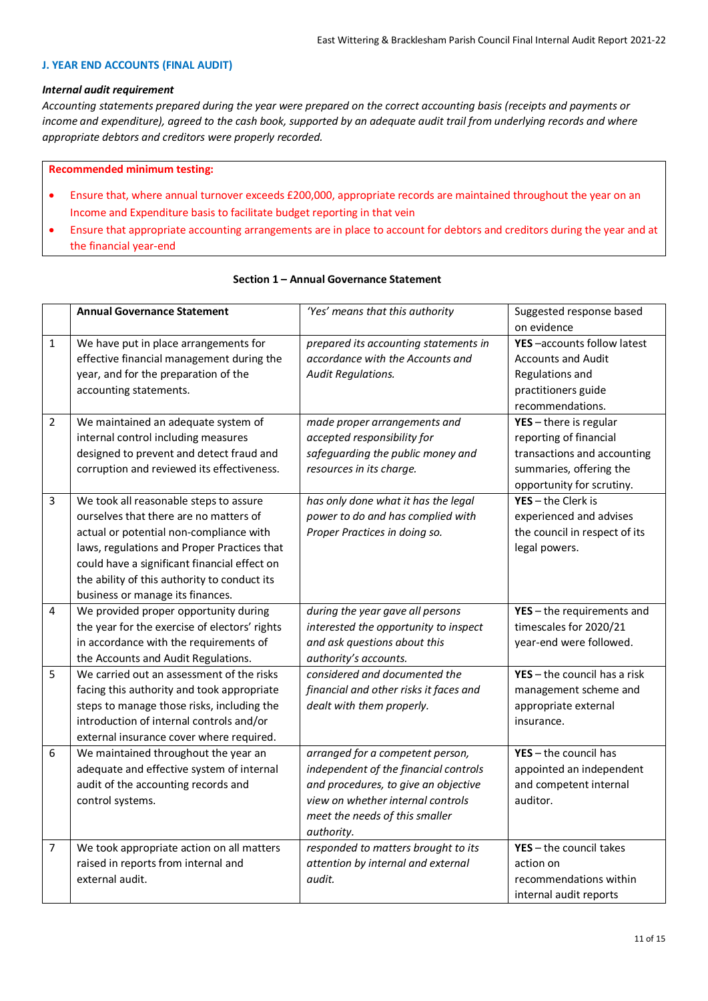## **J. YEAR END ACCOUNTS (FINAL AUDIT)**

### *Internal audit requirement*

*Accounting statements prepared during the year were prepared on the correct accounting basis (receipts and payments or income and expenditure), agreed to the cash book, supported by an adequate audit trail from underlying records and where appropriate debtors and creditors were properly recorded.*

### **Recommended minimum testing:**

- Ensure that, where annual turnover exceeds £200,000, appropriate records are maintained throughout the year on an Income and Expenditure basis to facilitate budget reporting in that vein
- Ensure that appropriate accounting arrangements are in place to account for debtors and creditors during the year and at the financial year-end

|                         | <b>Annual Governance Statement</b>            | 'Yes' means that this authority        | Suggested response based       |
|-------------------------|-----------------------------------------------|----------------------------------------|--------------------------------|
|                         |                                               |                                        | on evidence                    |
| $\mathbf{1}$            | We have put in place arrangements for         | prepared its accounting statements in  | YES-accounts follow latest     |
|                         | effective financial management during the     | accordance with the Accounts and       | <b>Accounts and Audit</b>      |
|                         | year, and for the preparation of the          | <b>Audit Regulations.</b>              | Regulations and                |
|                         | accounting statements.                        |                                        | practitioners guide            |
|                         |                                               |                                        | recommendations.               |
| $\overline{2}$          | We maintained an adequate system of           | made proper arrangements and           | $YES - there$ is regular       |
|                         | internal control including measures           | accepted responsibility for            | reporting of financial         |
|                         | designed to prevent and detect fraud and      | safeguarding the public money and      | transactions and accounting    |
|                         | corruption and reviewed its effectiveness.    | resources in its charge.               | summaries, offering the        |
|                         |                                               |                                        | opportunity for scrutiny.      |
| $\overline{\mathbf{3}}$ | We took all reasonable steps to assure        | has only done what it has the legal    | $YES - the Clerk is$           |
|                         | ourselves that there are no matters of        | power to do and has complied with      | experienced and advises        |
|                         | actual or potential non-compliance with       | Proper Practices in doing so.          | the council in respect of its  |
|                         | laws, regulations and Proper Practices that   |                                        | legal powers.                  |
|                         | could have a significant financial effect on  |                                        |                                |
|                         | the ability of this authority to conduct its  |                                        |                                |
|                         | business or manage its finances.              |                                        |                                |
| 4                       | We provided proper opportunity during         | during the year gave all persons       | $YES - the requirements$ and   |
|                         | the year for the exercise of electors' rights | interested the opportunity to inspect  | timescales for 2020/21         |
|                         | in accordance with the requirements of        | and ask questions about this           | year-end were followed.        |
|                         | the Accounts and Audit Regulations.           | authority's accounts.                  |                                |
| 5                       | We carried out an assessment of the risks     | considered and documented the          | $YES - the council has a risk$ |
|                         | facing this authority and took appropriate    | financial and other risks it faces and | management scheme and          |
|                         | steps to manage those risks, including the    | dealt with them properly.              | appropriate external           |
|                         | introduction of internal controls and/or      |                                        | insurance.                     |
|                         | external insurance cover where required.      |                                        |                                |
| 6                       | We maintained throughout the year an          | arranged for a competent person,       | $YES - the council has$        |
|                         | adequate and effective system of internal     | independent of the financial controls  | appointed an independent       |
|                         | audit of the accounting records and           | and procedures, to give an objective   | and competent internal         |
|                         | control systems.                              | view on whether internal controls      | auditor.                       |
|                         |                                               | meet the needs of this smaller         |                                |
|                         |                                               | authority.                             |                                |
| $\overline{7}$          | We took appropriate action on all matters     | responded to matters brought to its    | $YES - the council takes$      |
|                         | raised in reports from internal and           | attention by internal and external     | action on                      |
|                         | external audit.                               | audit.                                 | recommendations within         |
|                         |                                               |                                        | internal audit reports         |

### **Section 1 – Annual Governance Statement**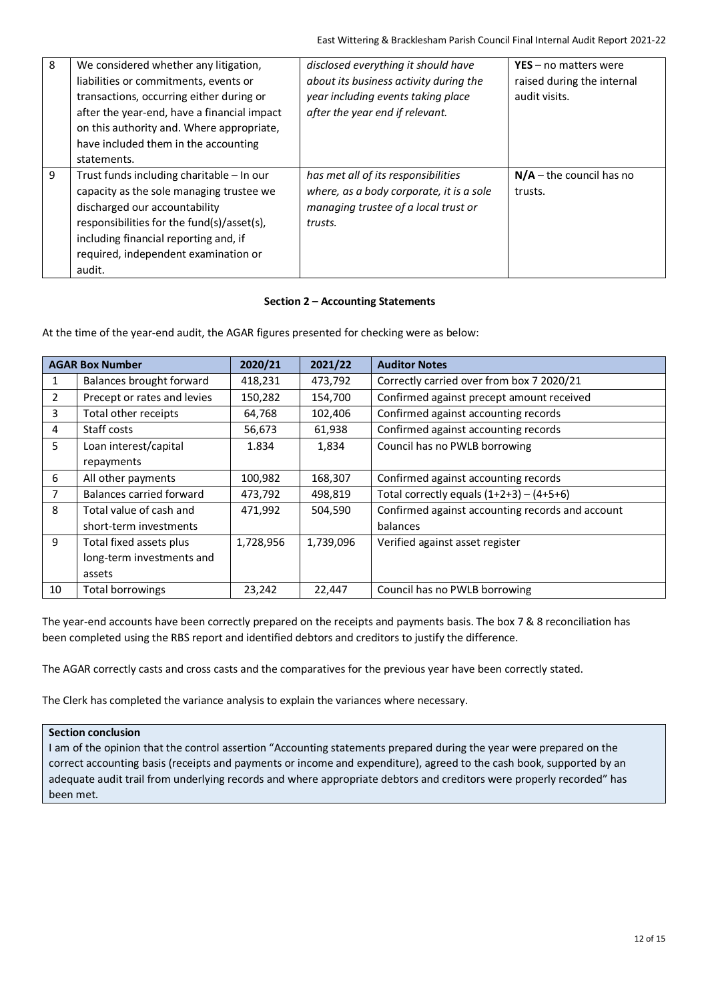| 8 | We considered whether any litigation,<br>liabilities or commitments, events or<br>transactions, occurring either during or<br>after the year-end, have a financial impact<br>on this authority and. Where appropriate,<br>have included them in the accounting<br>statements. | disclosed everything it should have<br>about its business activity during the<br>year including events taking place<br>after the year end if relevant. | $YES - no$ matters were<br>raised during the internal<br>audit visits. |
|---|-------------------------------------------------------------------------------------------------------------------------------------------------------------------------------------------------------------------------------------------------------------------------------|--------------------------------------------------------------------------------------------------------------------------------------------------------|------------------------------------------------------------------------|
| 9 | Trust funds including charitable – In our<br>capacity as the sole managing trustee we<br>discharged our accountability<br>responsibilities for the fund(s)/asset(s),<br>including financial reporting and, if<br>required, independent examination or<br>audit.               | has met all of its responsibilities<br>where, as a body corporate, it is a sole<br>managing trustee of a local trust or<br>trusts.                     | $N/A$ – the council has no<br>trusts.                                  |

## **Section 2 – Accounting Statements**

At the time of the year-end audit, the AGAR figures presented for checking were as below:

| <b>AGAR Box Number</b> |                             | 2020/21   | 2021/22   | <b>Auditor Notes</b>                             |
|------------------------|-----------------------------|-----------|-----------|--------------------------------------------------|
| 1                      | Balances brought forward    | 418,231   | 473,792   | Correctly carried over from box 7 2020/21        |
| $\overline{2}$         | Precept or rates and levies | 150,282   | 154,700   | Confirmed against precept amount received        |
| 3                      | Total other receipts        | 64,768    | 102,406   | Confirmed against accounting records             |
| 4                      | Staff costs                 | 56,673    | 61,938    | Confirmed against accounting records             |
| 5                      | Loan interest/capital       | 1.834     | 1,834     | Council has no PWLB borrowing                    |
|                        | repayments                  |           |           |                                                  |
| 6                      | All other payments          | 100,982   | 168,307   | Confirmed against accounting records             |
| 7                      | Balances carried forward    | 473,792   | 498,819   | Total correctly equals $(1+2+3) - (4+5+6)$       |
| 8                      | Total value of cash and     | 471,992   | 504,590   | Confirmed against accounting records and account |
|                        | short-term investments      |           |           | balances                                         |
| 9                      | Total fixed assets plus     | 1,728,956 | 1,739,096 | Verified against asset register                  |
|                        | long-term investments and   |           |           |                                                  |
|                        | assets                      |           |           |                                                  |
| 10                     | <b>Total borrowings</b>     | 23,242    | 22,447    | Council has no PWLB borrowing                    |

The year-end accounts have been correctly prepared on the receipts and payments basis. The box 7 & 8 reconciliation has been completed using the RBS report and identified debtors and creditors to justify the difference.

The AGAR correctly casts and cross casts and the comparatives for the previous year have been correctly stated.

The Clerk has completed the variance analysis to explain the variances where necessary.

## **Section conclusion**

I am of the opinion that the control assertion "Accounting statements prepared during the year were prepared on the correct accounting basis (receipts and payments or income and expenditure), agreed to the cash book, supported by an adequate audit trail from underlying records and where appropriate debtors and creditors were properly recorded" has been met.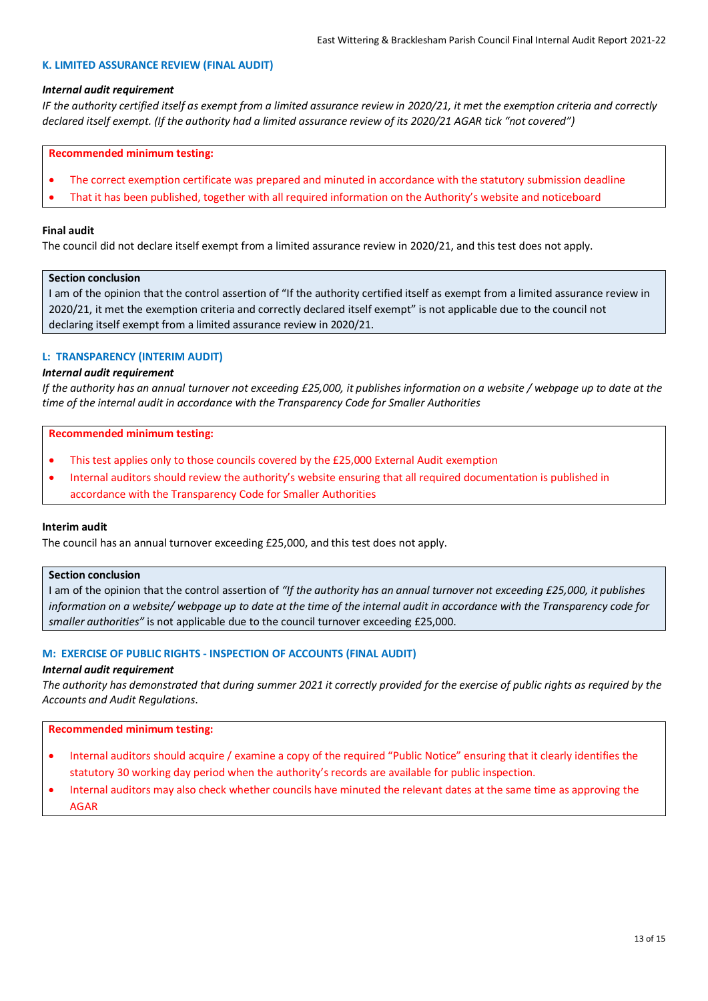#### **K. LIMITED ASSURANCE REVIEW (FINAL AUDIT)**

#### *Internal audit requirement*

*IF the authority certified itself as exempt from a limited assurance review in 2020/21, it met the exemption criteria and correctly declared itself exempt. (If the authority had a limited assurance review of its 2020/21 AGAR tick "not covered")*

#### **Recommended minimum testing:**

- The correct exemption certificate was prepared and minuted in accordance with the statutory submission deadline
- That it has been published, together with all required information on the Authority's website and noticeboard

## **Final audit**

The council did not declare itself exempt from a limited assurance review in 2020/21, and this test does not apply.

### **Section conclusion**

I am of the opinion that the control assertion of "If the authority certified itself as exempt from a limited assurance review in 2020/21, it met the exemption criteria and correctly declared itself exempt" is not applicable due to the council not declaring itself exempt from a limited assurance review in 2020/21.

## **L: TRANSPARENCY (INTERIM AUDIT)**

### *Internal audit requirement*

*If the authority has an annual turnover not exceeding £25,000, it publishes information on a website / webpage up to date at the time of the internal audit in accordance with the Transparency Code for Smaller Authorities*

### **Recommended minimum testing:**

- This test applies only to those councils covered by the £25,000 External Audit exemption
- Internal auditors should review the authority's website ensuring that all required documentation is published in accordance with the Transparency Code for Smaller Authorities

#### **Interim audit**

The council has an annual turnover exceeding £25,000, and this test does not apply.

## **Section conclusion**

I am of the opinion that the control assertion of *"If the authority has an annual turnover not exceeding £25,000, it publishes information on a website/ webpage up to date at the time of the internal audit in accordance with the Transparency code for smaller authorities"* is not applicable due to the council turnover exceeding £25,000.

## **M: EXERCISE OF PUBLIC RIGHTS - INSPECTION OF ACCOUNTS (FINAL AUDIT)**

### *Internal audit requirement*

*The authority has demonstrated that during summer 2021 it correctly provided for the exercise of public rights as required by the Accounts and Audit Regulations*.

- Internal auditors should acquire / examine a copy of the required "Public Notice" ensuring that it clearly identifies the statutory 30 working day period when the authority's records are available for public inspection.
- Internal auditors may also check whether councils have minuted the relevant dates at the same time as approving the AGAR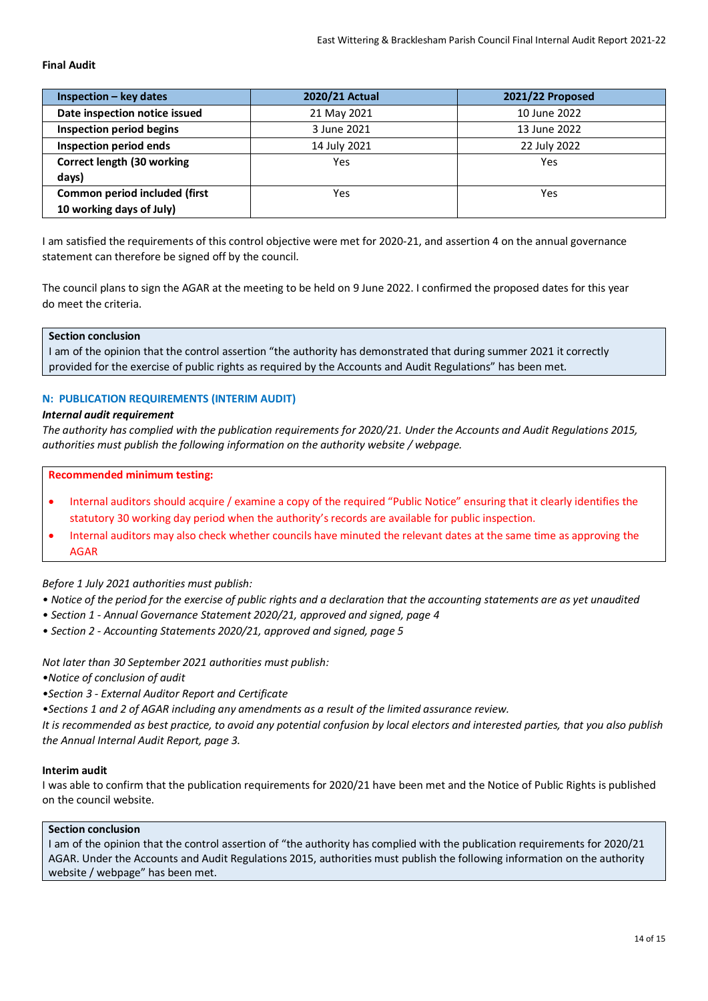## **Final Audit**

| $Inspection - key dates$        | 2020/21 Actual | 2021/22 Proposed |
|---------------------------------|----------------|------------------|
| Date inspection notice issued   | 21 May 2021    | 10 June 2022     |
| <b>Inspection period begins</b> | 3 June 2021    | 13 June 2022     |
| <b>Inspection period ends</b>   | 14 July 2021   | 22 July 2022     |
| Correct length (30 working      | Yes            | Yes              |
| days)                           |                |                  |
| Common period included (first   | Yes            | Yes              |
| 10 working days of July)        |                |                  |

I am satisfied the requirements of this control objective were met for 2020-21, and assertion 4 on the annual governance statement can therefore be signed off by the council.

The council plans to sign the AGAR at the meeting to be held on 9 June 2022. I confirmed the proposed dates for this year do meet the criteria.

## **Section conclusion**

I am of the opinion that the control assertion "the authority has demonstrated that during summer 2021 it correctly provided for the exercise of public rights as required by the Accounts and Audit Regulations" has been met.

### **N: PUBLICATION REQUIREMENTS (INTERIM AUDIT)**

### *Internal audit requirement*

*The authority has complied with the publication requirements for 2020/21. Under the Accounts and Audit Regulations 2015, authorities must publish the following information on the authority website / webpage.*

#### **Recommended minimum testing:**

- Internal auditors should acquire / examine a copy of the required "Public Notice" ensuring that it clearly identifies the statutory 30 working day period when the authority's records are available for public inspection.
- Internal auditors may also check whether councils have minuted the relevant dates at the same time as approving the AGAR

## *Before 1 July 2021 authorities must publish:*

- *Notice of the period for the exercise of public rights and a declaration that the accounting statements are as yet unaudited*
- *Section 1 Annual Governance Statement 2020/21, approved and signed, page 4*
- *Section 2 Accounting Statements 2020/21, approved and signed, page 5*

*Not later than 30 September 2021 authorities must publish:*

*•Notice of conclusion of audit*

*•Section 3 - External Auditor Report and Certificate*

*•Sections 1 and 2 of AGAR including any amendments as a result of the limited assurance review.*

*It is recommended as best practice, to avoid any potential confusion by local electors and interested parties, that you also publish the Annual Internal Audit Report, page 3.*

## **Interim audit**

I was able to confirm that the publication requirements for 2020/21 have been met and the Notice of Public Rights is published on the council website.

#### **Section conclusion**

I am of the opinion that the control assertion of "the authority has complied with the publication requirements for 2020/21 AGAR. Under the Accounts and Audit Regulations 2015, authorities must publish the following information on the authority website / webpage" has been met.